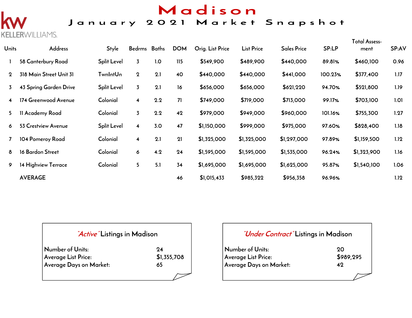## Madison

### January 2021 Market Snapshot

**ERWILLIAMS.** 

| <b>Units</b> | <b>Address</b>          | <b>Style</b>       | Bedrms Baths            |     | <b>DOM</b> | Orig. List Price | <b>List Price</b> | <b>Sales Price</b> | SP:LP   | <b>Total Assess-</b><br>ment | SP:AV |
|--------------|-------------------------|--------------------|-------------------------|-----|------------|------------------|-------------------|--------------------|---------|------------------------------|-------|
|              | 58 Canterbury Road      | <b>Split Level</b> | $\overline{3}$          | 1.0 | 115        | \$549,900        | \$489,900         | \$440,000          | 89.81%  | \$460,100                    | 0.96  |
| $\mathbf 2$  | 318 Main Street Unit 31 | <b>TwnIntUn</b>    | $\mathbf 2$             | 2.1 | 40         | \$440,000        | \$440,000         | \$441,000          | 100.23% | \$377,400                    | 1.17  |
| 3            | 43 Spring Garden Drive  | <b>Split Level</b> | $\overline{3}$          | 2.1 | 16         | \$656,000        | \$656,000         | \$621,220          | 94.70%  | \$521,800                    | 1.19  |
| 4            | 174 Greenwood Avenue    | Colonial           | $\overline{\mathbf{4}}$ | 2.2 | 71         | \$749,000        | \$719,000         | \$713,000          | 99.17%  | \$703,100                    | 1.01  |
| 5.           | 11 Academy Road         | Colonial           | $\overline{3}$          | 2.2 | 42         | \$979,000        | \$949,000         | \$960,000          | 101.16% | \$755,300                    | 1.27  |
| 6            | 53 Crestview Avenue     | <b>Split Level</b> | $\overline{\mathbf{4}}$ | 3.0 | 47         | \$1,150,000      | \$999,000         | \$975,000          | 97.60%  | \$828,400                    | 1.18  |
|              | 104 Pomeroy Road        | Colonial           | $\overline{\mathbf{4}}$ | 2.1 | 21         | \$1,325,000      | \$1,325,000       | \$1,297,000        | 97.89%  | \$1,159,500                  | 1.12  |
| 8            | 16 Bardon Street        | Colonial           | 6                       | 4.2 | 24         | \$1,595,000      | \$1,595,000       | \$1,535,000        | 96.24%  | \$1,323,900                  | 1.16  |
| 9            | 14 Highview Terrace     | Colonial           | 5 <sub>1</sub>          | 5.1 | 34         | \$1,695,000      | \$1,695,000       | \$1,625,000        | 95.87%  | \$1,540,100                  | 1.06  |
|              | <b>AVERAGE</b>          |                    |                         |     | 46         | \$1,015,433      | \$985,322         | \$956,358          | 96.96%  |                              | 1.12  |

#### **"Active" Listings in Madison**

| Number of Units:        | 94          |
|-------------------------|-------------|
| Average List Price:     | \$1,355,708 |
| Average Days on Market: | 65          |

#### **"Under Contract" Listings in Madison**

| Number of Units:        | - 20      |
|-------------------------|-----------|
| Average List Price:     | \$989,295 |
| Average Days on Market: | 49        |